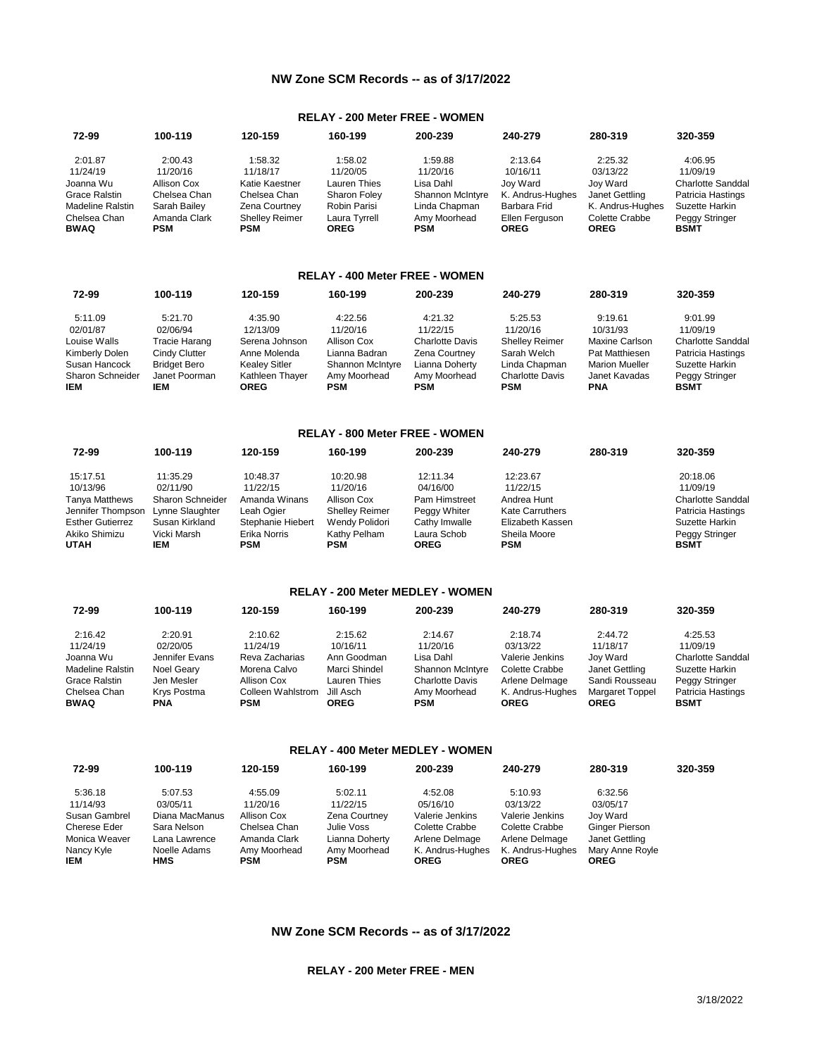## **NW Zone SCM Records -- as of 3/17/2022**

# **RELAY - 200 Meter FREE - WOMEN**

| 72-99                       | 100-119             | 120-159                      | 160-199               | 200-239             | 240-279                       | 280-319                       | 320-359                              |
|-----------------------------|---------------------|------------------------------|-----------------------|---------------------|-------------------------------|-------------------------------|--------------------------------------|
| 2:01.87                     | 2:00.43             | 1:58.32                      | 1:58.02               | 1:59.88             | 2:13.64                       | 2:25.32                       | 4:06.95                              |
| 11/24/19                    | 11/20/16            | 11/18/17                     | 11/20/05              | 11/20/16            | 10/16/11                      | 03/13/22                      | 11/09/19                             |
| Joanna Wu                   | Allison Cox         | Katie Kaestner               | Lauren Thies          | Lisa Dahl           | Jov Ward                      | Jov Ward                      | <b>Charlotte Sanddal</b>             |
| <b>Grace Ralstin</b>        | Chelsea Chan        | Chelsea Chan                 | Sharon Foley          | Shannon McIntyre    | K. Andrus-Hughes              | Janet Gettling                | Patricia Hastings                    |
| Madeline Ralstin            | Sarah Bailey        | Zena Courtney                | Robin Parisi          | Linda Chapman       | Barbara Frid                  | K. Andrus-Hughes              | Suzette Harkin                       |
| Chelsea Chan<br><b>BWAQ</b> | Amanda Clark<br>PSM | <b>Shelley Reimer</b><br>PSM | Laura Tyrrell<br>OREG | Amy Moorhead<br>PSM | Ellen Ferguson<br><b>OREG</b> | Colette Crabbe<br><b>OREG</b> | <b>Peggy Stringer</b><br><b>BSMT</b> |

#### **RELAY - 400 Meter FREE - WOMEN**

| 72-99                   | 100-119              | 120-159                        | 160-199             | 200-239                | 240-279                              | 280-319                     | 320-359                       |
|-------------------------|----------------------|--------------------------------|---------------------|------------------------|--------------------------------------|-----------------------------|-------------------------------|
| 5:11.09                 | 5:21.70              | 4:35.90                        | 4:22.56             | 4:21.32                | 5:25.53                              | 9:19.61                     | 9:01.99                       |
| 02/01/87                | 02/06/94             | 12/13/09                       | 11/20/16            | 11/22/15               | 11/20/16                             | 10/31/93                    | 11/09/19                      |
| Louise Walls            | <b>Tracie Harang</b> | Serena Johnson                 | Allison Cox         | <b>Charlotte Davis</b> | <b>Shelley Reimer</b>                | <b>Maxine Carlson</b>       | <b>Charlotte Sanddal</b>      |
| Kimberly Dolen          | Cindy Clutter        | Anne Molenda                   | Lianna Badran       | Zena Courtney          | Sarah Welch                          | Pat Matthiesen              | Patricia Hastings             |
| Susan Hancock           | <b>Bridget Bero</b>  | <b>Kealey Sitler</b>           | Shannon McIntyre    | Lianna Doherty         | Linda Chapman                        | <b>Marion Mueller</b>       | Suzette Harkin                |
| Sharon Schneider<br>IEM | Janet Poorman<br>IEM | Kathleen Thayer<br><b>OREG</b> | Amy Moorhead<br>PSM | Amy Moorhead<br>PSM    | <b>Charlotte Davis</b><br><b>PSM</b> | Janet Kavadas<br><b>PNA</b> | Peggy Stringer<br><b>BSMT</b> |

### **RELAY - 800 Meter FREE - WOMEN**

| 72-99                   | 100-119          | 120-159           | 160-199               | 200-239       | 240-279                | 280-319 | 320-359                  |
|-------------------------|------------------|-------------------|-----------------------|---------------|------------------------|---------|--------------------------|
| 15:17.51                | 11:35.29         | 10:48.37          | 10:20.98              | 12:11.34      | 12:23.67               |         | 20:18.06                 |
| 10/13/96                | 02/11/90         | 11/22/15          | 11/20/16              | 04/16/00      | 11/22/15               |         | 11/09/19                 |
| <b>Tanya Matthews</b>   | Sharon Schneider | Amanda Winans     | Allison Cox           | Pam Himstreet | Andrea Hunt            |         | <b>Charlotte Sanddal</b> |
| Jennifer Thompson       | Lynne Slaughter  | Leah Ogier        | <b>Shelley Reimer</b> | Peggy Whiter  | <b>Kate Carruthers</b> |         | Patricia Hastings        |
| <b>Esther Gutierrez</b> | Susan Kirkland   | Stephanie Hiebert | Wendy Polidori        | Cathy Imwalle | Elizabeth Kassen       |         | Suzette Harkin           |
| Akiko Shimizu           | Vicki Marsh      | Erika Norris      | Kathy Pelham          | Laura Schob   | Sheila Moore           |         | Peggy Stringer           |
| <b>UTAH</b>             | IEM              | PSM               | PSM                   | <b>OREG</b>   | <b>PSM</b>             |         | <b>BSMT</b>              |

#### **RELAY - 200 Meter MEDLEY - WOMEN**

| 72-99            | 100-119        | 120-159           | 160-199       | 200-239                | 240-279          | 280-319                | 320-359                  |
|------------------|----------------|-------------------|---------------|------------------------|------------------|------------------------|--------------------------|
| 2:16.42          | 2:20.91        | 2:10.62           | 2:15.62       | 2:14.67                | 2:18.74          | 2:44.72                | 4:25.53                  |
| 11/24/19         | 02/20/05       | 11/24/19          | 10/16/11      | 11/20/16               | 03/13/22         | 11/18/17               | 11/09/19                 |
| Joanna Wu        | Jennifer Evans | Reva Zacharias    | Ann Goodman   | Lisa Dahl              | Valerie Jenkins  | Joy Ward               | <b>Charlotte Sanddal</b> |
| Madeline Ralstin | Noel Geary     | Morena Calvo      | Marci Shindel | Shannon McIntyre       | Colette Crabbe   | Janet Gettling         | Suzette Harkin           |
| Grace Ralstin    | Jen Mesler     | Allison Cox       | Lauren Thies  | <b>Charlotte Davis</b> | Arlene Delmage   | Sandi Rousseau         | Peggy Stringer           |
| Chelsea Chan     | Krvs Postma    | Colleen Wahlstrom | Jill Asch     | Amy Moorhead           | K. Andrus-Hughes | <b>Margaret Toppel</b> | Patricia Hastings        |
| <b>BWAQ</b>      | PNA            | PSM               | OREG          | PSM                    | <b>OREG</b>      | <b>OREG</b>            | <b>BSMT</b>              |

#### **RELAY - 400 Meter MEDLEY - WOMEN**

| 72-99         | 100-119        | 120-159      | 160-199        | 200-239          | 240-279          | 280-319               | 320-359 |
|---------------|----------------|--------------|----------------|------------------|------------------|-----------------------|---------|
| 5:36.18       | 5:07.53        | 4:55.09      | 5:02.11        | 4:52.08          | 5:10.93          | 6:32.56               |         |
| 11/14/93      | 03/05/11       | 11/20/16     | 11/22/15       | 05/16/10         | 03/13/22         | 03/05/17              |         |
| Susan Gambrel | Diana MacManus | Allison Cox  | Zena Courtney  | Valerie Jenkins  | Valerie Jenkins  | Jov Ward              |         |
| Cherese Eder  | Sara Nelson    | Chelsea Chan | Julie Voss     | Colette Crabbe   | Colette Crabbe   | <b>Ginger Pierson</b> |         |
| Monica Weaver | Lana Lawrence  | Amanda Clark | Lianna Doherty | Arlene Delmage   | Arlene Delmage   | Janet Gettling        |         |
| Nancy Kyle    | Noelle Adams   | Amy Moorhead | Amy Moorhead   | K. Andrus-Hughes | K. Andrus-Hughes | Mary Anne Royle       |         |
| IEM           | <b>HMS</b>     | <b>PSM</b>   | <b>PSM</b>     | <b>OREG</b>      | <b>OREG</b>      | <b>OREG</b>           |         |

# **NW Zone SCM Records -- as of 3/17/2022**

**RELAY - 200 Meter FREE - MEN**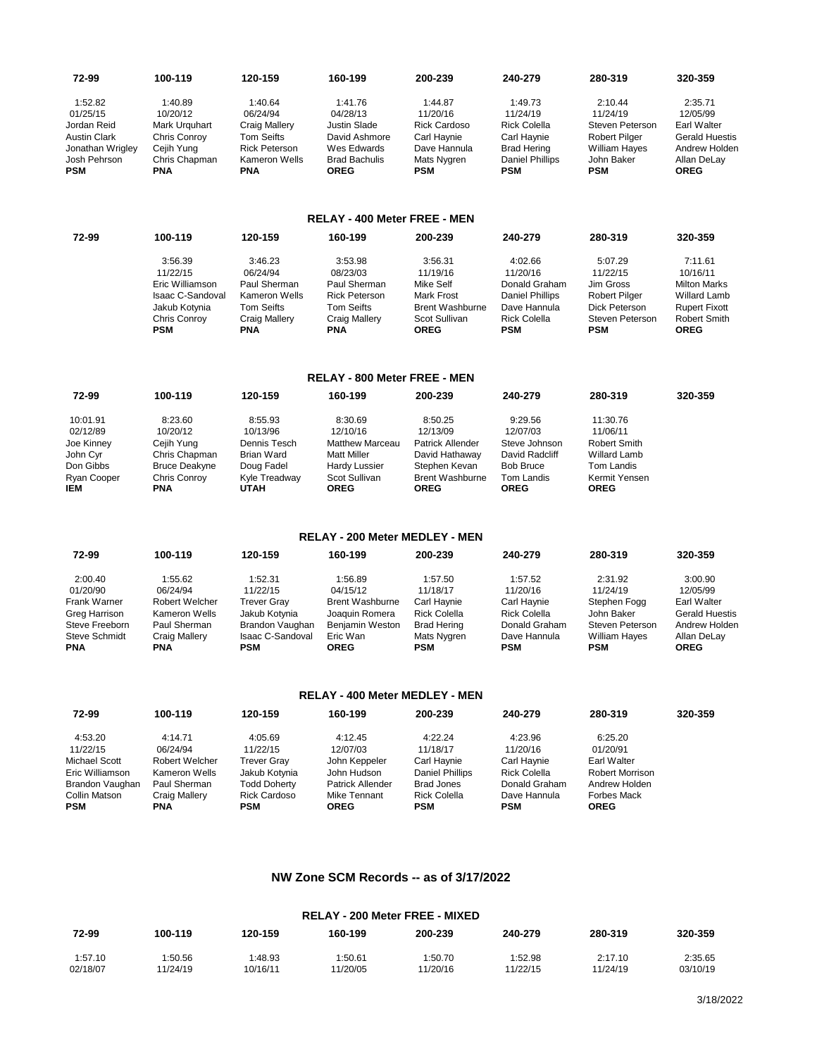| 72-99                                                                                                     | 100-119                                                                                                          | 120-159                                                                                                                 | 160-199                                                                                                                     | 200-239                                                                                                                | 240-279                                                                                                                 | 280-319                                                                                                            | 320-359                                                                                                                         |
|-----------------------------------------------------------------------------------------------------------|------------------------------------------------------------------------------------------------------------------|-------------------------------------------------------------------------------------------------------------------------|-----------------------------------------------------------------------------------------------------------------------------|------------------------------------------------------------------------------------------------------------------------|-------------------------------------------------------------------------------------------------------------------------|--------------------------------------------------------------------------------------------------------------------|---------------------------------------------------------------------------------------------------------------------------------|
| 1:52.82<br>01/25/15<br>Jordan Reid<br>Austin Clark<br>Jonathan Wrigley<br>Josh Pehrson<br><b>PSM</b>      | 1:40.89<br>10/20/12<br>Mark Urguhart<br>Chris Conroy<br>Cejih Yung<br>Chris Chapman<br><b>PNA</b>                | 1:40.64<br>06/24/94<br>Craig Mallery<br><b>Tom Seifts</b><br><b>Rick Peterson</b><br><b>Kameron Wells</b><br><b>PNA</b> | 1:41.76<br>04/28/13<br><b>Justin Slade</b><br>David Ashmore<br>Wes Edwards<br><b>Brad Bachulis</b><br><b>OREG</b>           | 1:44.87<br>11/20/16<br><b>Rick Cardoso</b><br>Carl Haynie<br>Dave Hannula<br>Mats Nygren<br><b>PSM</b>                 | 1:49.73<br>11/24/19<br><b>Rick Colella</b><br>Carl Haynie<br><b>Brad Hering</b><br><b>Daniel Phillips</b><br><b>PSM</b> | 2:10.44<br>11/24/19<br>Steven Peterson<br>Robert Pilger<br><b>William Hayes</b><br>John Baker<br><b>PSM</b>        | 2:35.71<br>12/05/99<br>Earl Walter<br><b>Gerald Huestis</b><br>Andrew Holden<br>Allan DeLay<br><b>OREG</b>                      |
|                                                                                                           |                                                                                                                  |                                                                                                                         | <b>RELAY - 400 Meter FREE - MEN</b>                                                                                         |                                                                                                                        |                                                                                                                         |                                                                                                                    |                                                                                                                                 |
| 72-99                                                                                                     | 100-119                                                                                                          | 120-159                                                                                                                 | 160-199                                                                                                                     | 200-239                                                                                                                | 240-279                                                                                                                 | 280-319                                                                                                            | 320-359                                                                                                                         |
|                                                                                                           | 3:56.39<br>11/22/15<br>Eric Williamson<br><b>Isaac C-Sandoval</b><br>Jakub Kotynia<br>Chris Conroy<br><b>PSM</b> | 3:46.23<br>06/24/94<br>Paul Sherman<br><b>Kameron Wells</b><br><b>Tom Seifts</b><br>Craig Mallery<br><b>PNA</b>         | 3:53.98<br>08/23/03<br>Paul Sherman<br><b>Rick Peterson</b><br><b>Tom Seifts</b><br><b>Craig Mallery</b><br><b>PNA</b>      | 3:56.31<br>11/19/16<br>Mike Self<br><b>Mark Frost</b><br><b>Brent Washburne</b><br>Scot Sullivan<br><b>OREG</b>        | 4:02.66<br>11/20/16<br>Donald Graham<br>Daniel Phillips<br>Dave Hannula<br><b>Rick Colella</b><br><b>PSM</b>            | 5:07.29<br>11/22/15<br>Jim Gross<br>Robert Pilger<br>Dick Peterson<br>Steven Peterson<br><b>PSM</b>                | 7:11.61<br>10/16/11<br><b>Milton Marks</b><br><b>Willard Lamb</b><br><b>Rupert Fixott</b><br><b>Robert Smith</b><br><b>OREG</b> |
|                                                                                                           |                                                                                                                  |                                                                                                                         | <b>RELAY - 800 Meter FREE - MEN</b>                                                                                         |                                                                                                                        |                                                                                                                         |                                                                                                                    |                                                                                                                                 |
| 72-99                                                                                                     | 100-119                                                                                                          | 120-159                                                                                                                 | 160-199                                                                                                                     | 200-239                                                                                                                | 240-279                                                                                                                 | 280-319                                                                                                            | 320-359                                                                                                                         |
| 10:01.91<br>02/12/89<br>Joe Kinney<br>John Cyr<br>Don Gibbs<br>Ryan Cooper<br>IEM                         | 8:23.60<br>10/20/12<br>Cejih Yung<br>Chris Chapman<br><b>Bruce Deakyne</b><br>Chris Conroy<br>PNA                | 8:55.93<br>10/13/96<br>Dennis Tesch<br><b>Brian Ward</b><br>Doug Fadel<br>Kyle Treadway<br><b>UTAH</b>                  | 8:30.69<br>12/10/16<br><b>Matthew Marceau</b><br><b>Matt Miller</b><br><b>Hardy Lussier</b><br>Scot Sullivan<br><b>OREG</b> | 8:50.25<br>12/13/09<br>Patrick Allender<br>David Hathaway<br>Stephen Kevan<br><b>Brent Washburne</b><br><b>OREG</b>    | 9:29.56<br>12/07/03<br>Steve Johnson<br>David Radcliff<br><b>Bob Bruce</b><br>Tom Landis<br><b>OREG</b>                 | 11:30.76<br>11/06/11<br><b>Robert Smith</b><br><b>Willard Lamb</b><br>Tom Landis<br>Kermit Yensen<br><b>OREG</b>   |                                                                                                                                 |
|                                                                                                           |                                                                                                                  |                                                                                                                         | <b>RELAY - 200 Meter MEDLEY - MEN</b>                                                                                       |                                                                                                                        |                                                                                                                         |                                                                                                                    |                                                                                                                                 |
| 72-99                                                                                                     | 100-119                                                                                                          | 120-159                                                                                                                 | 160-199                                                                                                                     | 200-239                                                                                                                | 240-279                                                                                                                 | 280-319                                                                                                            | 320-359                                                                                                                         |
| 2:00.40<br>01/20/90<br>Frank Warner<br>Greg Harrison<br>Steve Freeborn<br><b>Steve Schmidt</b><br>PNA     | 1:55.62<br>06/24/94<br>Robert Welcher<br>Kameron Wells<br>Paul Sherman<br><b>Craig Mallery</b><br><b>PNA</b>     | 1:52.31<br>11/22/15<br><b>Trever Gray</b><br>Jakub Kotynia<br>Brandon Vaughan<br><b>Isaac C-Sandoval</b><br><b>PSM</b>  | 1:56.89<br>04/15/12<br>Brent Washburne<br>Joaquin Romera<br>Benjamin Weston<br>Eric Wan<br><b>OREG</b>                      | 1:57.50<br>11/18/17<br>Carl Haynie<br><b>Rick Colella</b><br><b>Brad Hering</b><br>Mats Nygren<br><b>PSM</b>           | 1:57.52<br>11/20/16<br>Carl Haynie<br><b>Rick Colella</b><br>Donald Graham<br>Dave Hannula<br><b>PSM</b>                | 2:31.92<br>11/24/19<br>Stephen Fogg<br>John Baker<br>Steven Peterson<br>William Hayes<br><b>PSM</b>                | 3:00.90<br>12/05/99<br>Earl Walter<br><b>Gerald Huestis</b><br>Andrew Holden<br>Allan DeLay<br><b>OREG</b>                      |
|                                                                                                           |                                                                                                                  |                                                                                                                         | <b>RELAY - 400 Meter MEDLEY - MEN</b>                                                                                       |                                                                                                                        |                                                                                                                         |                                                                                                                    |                                                                                                                                 |
| 72-99                                                                                                     | 100-119                                                                                                          | 120-159                                                                                                                 | 160-199                                                                                                                     | 200-239                                                                                                                | 240-279                                                                                                                 | 280-319                                                                                                            | 320-359                                                                                                                         |
| 4:53.20<br>11/22/15<br>Michael Scott<br>Eric Williamson<br>Brandon Vaughan<br>Collin Matson<br><b>PSM</b> | 4:14.71<br>06/24/94<br>Robert Welcher<br>Kameron Wells<br>Paul Sherman<br>Craig Mallery<br>PNA                   | 4:05.69<br>11/22/15<br><b>Trever Gray</b><br>Jakub Kotynia<br><b>Todd Doherty</b><br><b>Rick Cardoso</b><br><b>PSM</b>  | 4:12.45<br>12/07/03<br>John Keppeler<br>John Hudson<br><b>Patrick Allender</b><br>Mike Tennant<br><b>OREG</b>               | 4:22.24<br>11/18/17<br>Carl Haynie<br><b>Daniel Phillips</b><br><b>Brad Jones</b><br><b>Rick Colella</b><br><b>PSM</b> | 4:23.96<br>11/20/16<br>Carl Haynie<br><b>Rick Colella</b><br>Donald Graham<br>Dave Hannula<br><b>PSM</b>                | 6:25.20<br>01/20/91<br>Earl Walter<br><b>Robert Morrison</b><br>Andrew Holden<br><b>Forbes Mack</b><br><b>OREG</b> |                                                                                                                                 |

## **NW Zone SCM Records -- as of 3/17/2022**

| <b>RELAY - 200 Meter FREE - MIXED</b> |          |          |          |          |          |          |          |  |  |  |
|---------------------------------------|----------|----------|----------|----------|----------|----------|----------|--|--|--|
| 72-99                                 | 100-119  | 120-159  | 160-199  | 200-239  | 240-279  | 280-319  | 320-359  |  |  |  |
| 1:57.10                               | 1:50.56  | 1:48.93  | 1:50.61  | 1:50.70  | 1:52.98  | 2:17.10  | 2:35.65  |  |  |  |
| 02/18/07                              | 11/24/19 | 10/16/11 | 11/20/05 | 11/20/16 | 11/22/15 | 11/24/19 | 03/10/19 |  |  |  |